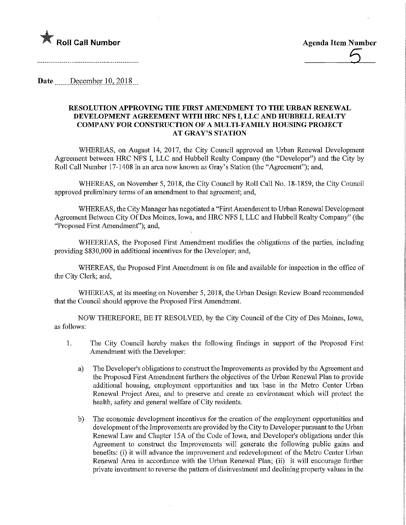

Date December 10, 2018

## RESOLUTION APPROVING THE FIRST AMENDMENT TO THE URBAN RENEWAL DEVELOPMENT AGREEMENT WITH HRC NFS I, LLC AND HUBBELL REALTY COMPANY FOR CONSTRUCTION OF A MULTI-FAMILY HOUSING PROJECT AT GRAY'S STATION

WHEREAS, on August 14, 2017, the City Council approved an Urban Renewal Development Agreement between HRC NFS I, LLC and Hubbell Realty Company (the "Developer") and the City by Roll Call Number 17-1408 in an area now known as Gray's Station (the "Agreement"); and,

WHEREAS, on November 5, 2018, the City Council by Roll Call No. 18-1859, the City Council approved preliminary terms of an amendment to that agreement; and,

WHEREAS, the City Manager has negotiated a "First Amendment to Urban Renewal Development Agreement Between City Of Des Moines, Iowa, and HRC NFS I, LLC and Hubbell Realty Company" (the "Proposed First Amendment"); and,

WHEEREAS, the Proposed First Amendment modifies the obligations of the parties, including providing \$830,000 in additional incentives for the Developer; and,

WHEREAS, the Proposed First Amendment is on file and available for inspection in the office of the City Clerk; and,

WHEREAS, at its meeting on November 5, 2018, the Urban Design Review Board recommended that the Council should approve the Proposed First Amendment.

NOW THEREFORE, BE IT RESOLVED, by the City Council of the City of Des Moines, Iowa, as follows:

- 1. The City Council hereby makes the following findings in support of the Proposed First Amendment with the Developer:
	- a) The Developer's obligations to construct the Improvements as provided by the Agreement and the Proposed First Amendment furthers the objectives of the Urban Renewal Plan to provide additional housing, employment opportunities and tax base in the Metro Center Urban Renewal Project Area, and to preserve and create an environment which will protect the health, safety and general welfare of City residents.
	- b) The economic development incentives for the creation of the employment opportunities and development of the Improvements are provided by the City to Developer pursuant to the Urban Renewal Law and Chapter 15A of the Code of Iowa, and Developer's obligations under this Agreement to construct the Improvements will generate the following public gams and benefits: (i) it will advance the improvement and redevelopment of the Metro Center Urban Renewal Area in accordance with the Urban Renewal Plan; (ii) it will encourage further private investment to reverse the pattern of disinvestment and declining property values in the